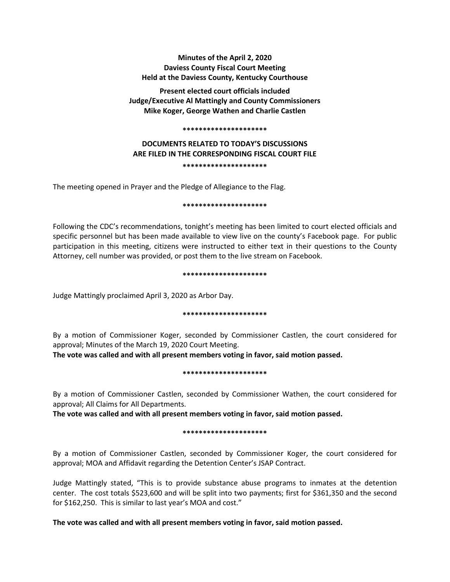**Minutes of the April 2, 2020 Daviess County Fiscal Court Meeting Held at the Daviess County, Kentucky Courthouse**

**Present elected court officials included Judge/Executive Al Mattingly and County Commissioners Mike Koger, George Wathen and Charlie Castlen**

#### **\*\*\*\*\*\*\*\*\*\*\*\*\*\*\*\*\*\*\*\*\***

# **DOCUMENTS RELATED TO TODAY'S DISCUSSIONS ARE FILED IN THE CORRESPONDING FISCAL COURT FILE**

**\*\*\*\*\*\*\*\*\*\*\*\*\*\*\*\*\*\*\*\*\***

The meeting opened in Prayer and the Pledge of Allegiance to the Flag.

#### **\*\*\*\*\*\*\*\*\*\*\*\*\*\*\*\*\*\*\*\*\***

Following the CDC's recommendations, tonight's meeting has been limited to court elected officials and specific personnel but has been made available to view live on the county's Facebook page. For public participation in this meeting, citizens were instructed to either text in their questions to the County Attorney, cell number was provided, or post them to the live stream on Facebook.

#### **\*\*\*\*\*\*\*\*\*\*\*\*\*\*\*\*\*\*\*\*\***

Judge Mattingly proclaimed April 3, 2020 as Arbor Day.

#### **\*\*\*\*\*\*\*\*\*\*\*\*\*\*\*\*\*\*\*\*\***

By a motion of Commissioner Koger, seconded by Commissioner Castlen, the court considered for approval; Minutes of the March 19, 2020 Court Meeting.

**The vote was called and with all present members voting in favor, said motion passed.** 

## **\*\*\*\*\*\*\*\*\*\*\*\*\*\*\*\*\*\*\*\*\***

By a motion of Commissioner Castlen, seconded by Commissioner Wathen, the court considered for approval; All Claims for All Departments.

**The vote was called and with all present members voting in favor, said motion passed.** 

## **\*\*\*\*\*\*\*\*\*\*\*\*\*\*\*\*\*\*\*\*\***

By a motion of Commissioner Castlen, seconded by Commissioner Koger, the court considered for approval; MOA and Affidavit regarding the Detention Center's JSAP Contract.

Judge Mattingly stated, "This is to provide substance abuse programs to inmates at the detention center. The cost totals \$523,600 and will be split into two payments; first for \$361,350 and the second for \$162,250. This is similar to last year's MOA and cost."

# **The vote was called and with all present members voting in favor, said motion passed.**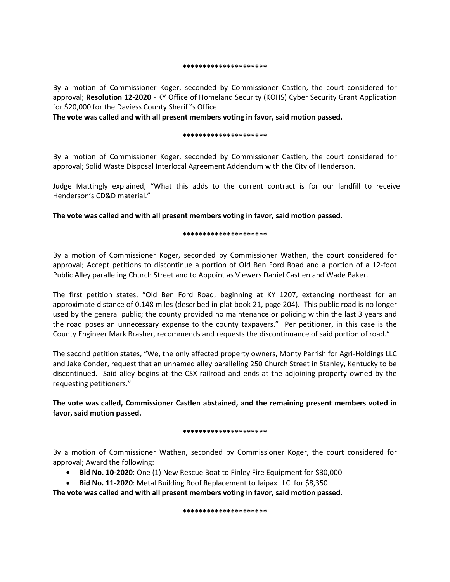#### **\*\*\*\*\*\*\*\*\*\*\*\*\*\*\*\*\*\*\*\*\***

By a motion of Commissioner Koger, seconded by Commissioner Castlen, the court considered for approval; **Resolution 12-2020** - KY Office of Homeland Security (KOHS) Cyber Security Grant Application for \$20,000 for the Daviess County Sheriff's Office.

**The vote was called and with all present members voting in favor, said motion passed.** 

## **\*\*\*\*\*\*\*\*\*\*\*\*\*\*\*\*\*\*\*\*\***

By a motion of Commissioner Koger, seconded by Commissioner Castlen, the court considered for approval; Solid Waste Disposal Interlocal Agreement Addendum with the City of Henderson.

Judge Mattingly explained, "What this adds to the current contract is for our landfill to receive Henderson's CD&D material."

**The vote was called and with all present members voting in favor, said motion passed.** 

# **\*\*\*\*\*\*\*\*\*\*\*\*\*\*\*\*\*\*\*\*\***

By a motion of Commissioner Koger, seconded by Commissioner Wathen, the court considered for approval; Accept petitions to discontinue a portion of Old Ben Ford Road and a portion of a 12-foot Public Alley paralleling Church Street and to Appoint as Viewers Daniel Castlen and Wade Baker.

The first petition states, "Old Ben Ford Road, beginning at KY 1207, extending northeast for an approximate distance of 0.148 miles (described in plat book 21, page 204). This public road is no longer used by the general public; the county provided no maintenance or policing within the last 3 years and the road poses an unnecessary expense to the county taxpayers." Per petitioner, in this case is the County Engineer Mark Brasher, recommends and requests the discontinuance of said portion of road."

The second petition states, "We, the only affected property owners, Monty Parrish for Agri-Holdings LLC and Jake Conder, request that an unnamed alley paralleling 250 Church Street in Stanley, Kentucky to be discontinued. Said alley begins at the CSX railroad and ends at the adjoining property owned by the requesting petitioners."

**The vote was called, Commissioner Castlen abstained, and the remaining present members voted in favor, said motion passed.** 

## **\*\*\*\*\*\*\*\*\*\*\*\*\*\*\*\*\*\*\*\*\***

By a motion of Commissioner Wathen, seconded by Commissioner Koger, the court considered for approval; Award the following:

- **Bid No. 10-2020**: One (1) New Rescue Boat to Finley Fire Equipment for \$30,000
- **Bid No. 11-2020**: Metal Building Roof Replacement to Jaipax LLC for \$8,350

**The vote was called and with all present members voting in favor, said motion passed.** 

**\*\*\*\*\*\*\*\*\*\*\*\*\*\*\*\*\*\*\*\*\***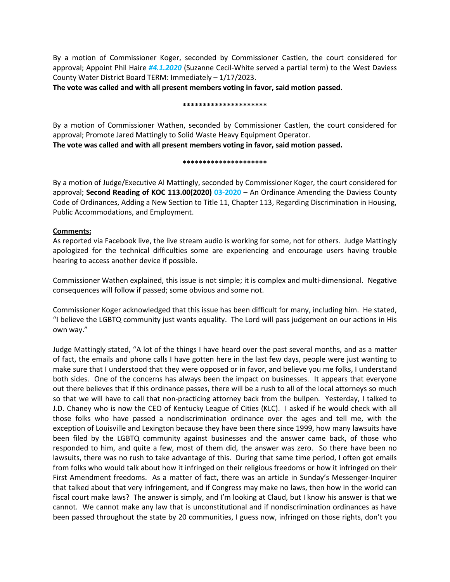By a motion of Commissioner Koger, seconded by Commissioner Castlen, the court considered for approval; Appoint Phil Haire *#4.1.2020* (Suzanne Cecil-White served a partial term) to the West Daviess County Water District Board TERM: Immediately – 1/17/2023.

**The vote was called and with all present members voting in favor, said motion passed.** 

## **\*\*\*\*\*\*\*\*\*\*\*\*\*\*\*\*\*\*\*\*\***

By a motion of Commissioner Wathen, seconded by Commissioner Castlen, the court considered for approval; Promote Jared Mattingly to Solid Waste Heavy Equipment Operator.

**The vote was called and with all present members voting in favor, said motion passed.** 

## **\*\*\*\*\*\*\*\*\*\*\*\*\*\*\*\*\*\*\*\*\***

By a motion of Judge/Executive Al Mattingly, seconded by Commissioner Koger, the court considered for approval; **Second Reading of KOC 113.00(2020) 03-2020** – An Ordinance Amending the Daviess County Code of Ordinances, Adding a New Section to Title 11, Chapter 113, Regarding Discrimination in Housing, Public Accommodations, and Employment.

# **Comments:**

As reported via Facebook live, the live stream audio is working for some, not for others. Judge Mattingly apologized for the technical difficulties some are experiencing and encourage users having trouble hearing to access another device if possible.

Commissioner Wathen explained, this issue is not simple; it is complex and multi-dimensional. Negative consequences will follow if passed; some obvious and some not.

Commissioner Koger acknowledged that this issue has been difficult for many, including him. He stated, "I believe the LGBTQ community just wants equality. The Lord will pass judgement on our actions in His own way."

Judge Mattingly stated, "A lot of the things I have heard over the past several months, and as a matter of fact, the emails and phone calls I have gotten here in the last few days, people were just wanting to make sure that I understood that they were opposed or in favor, and believe you me folks, I understand both sides. One of the concerns has always been the impact on businesses. It appears that everyone out there believes that if this ordinance passes, there will be a rush to all of the local attorneys so much so that we will have to call that non-practicing attorney back from the bullpen. Yesterday, I talked to J.D. Chaney who is now the CEO of Kentucky League of Cities (KLC). I asked if he would check with all those folks who have passed a nondiscrimination ordinance over the ages and tell me, with the exception of Louisville and Lexington because they have been there since 1999, how many lawsuits have been filed by the LGBTQ community against businesses and the answer came back, of those who responded to him, and quite a few, most of them did, the answer was zero. So there have been no lawsuits, there was no rush to take advantage of this. During that same time period, I often got emails from folks who would talk about how it infringed on their religious freedoms or how it infringed on their First Amendment freedoms. As a matter of fact, there was an article in Sunday's Messenger-Inquirer that talked about that very infringement, and if Congress may make no laws, then how in the world can fiscal court make laws? The answer is simply, and I'm looking at Claud, but I know his answer is that we cannot. We cannot make any law that is unconstitutional and if nondiscrimination ordinances as have been passed throughout the state by 20 communities, I guess now, infringed on those rights, don't you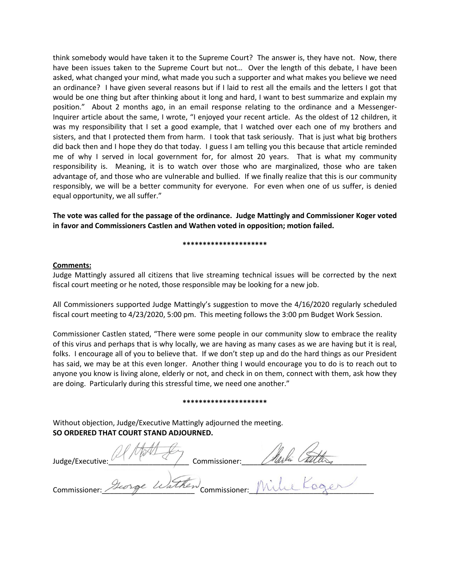think somebody would have taken it to the Supreme Court? The answer is, they have not. Now, there have been issues taken to the Supreme Court but not… Over the length of this debate, I have been asked, what changed your mind, what made you such a supporter and what makes you believe we need an ordinance? I have given several reasons but if I laid to rest all the emails and the letters I got that would be one thing but after thinking about it long and hard, I want to best summarize and explain my position." About 2 months ago, in an email response relating to the ordinance and a Messenger-Inquirer article about the same, I wrote, "I enjoyed your recent article. As the oldest of 12 children, it was my responsibility that I set a good example, that I watched over each one of my brothers and sisters, and that I protected them from harm. I took that task seriously. That is just what big brothers did back then and I hope they do that today. I guess I am telling you this because that article reminded me of why I served in local government for, for almost 20 years. That is what my community responsibility is. Meaning, it is to watch over those who are marginalized, those who are taken advantage of, and those who are vulnerable and bullied. If we finally realize that this is our community responsibly, we will be a better community for everyone. For even when one of us suffer, is denied equal opportunity, we all suffer."

**The vote was called for the passage of the ordinance. Judge Mattingly and Commissioner Koger voted in favor and Commissioners Castlen and Wathen voted in opposition; motion failed.**

## **\*\*\*\*\*\*\*\*\*\*\*\*\*\*\*\*\*\*\*\*\***

## **Comments:**

Judge Mattingly assured all citizens that live streaming technical issues will be corrected by the next fiscal court meeting or he noted, those responsible may be looking for a new job.

All Commissioners supported Judge Mattingly's suggestion to move the 4/16/2020 regularly scheduled fiscal court meeting to 4/23/2020, 5:00 pm. This meeting follows the 3:00 pm Budget Work Session.

Commissioner Castlen stated, "There were some people in our community slow to embrace the reality of this virus and perhaps that is why locally, we are having as many cases as we are having but it is real, folks. I encourage all of you to believe that. If we don't step up and do the hard things as our President has said, we may be at this even longer. Another thing I would encourage you to do is to reach out to anyone you know is living alone, elderly or not, and check in on them, connect with them, ask how they are doing. Particularly during this stressful time, we need one another."

#### **\*\*\*\*\*\*\*\*\*\*\*\*\*\*\*\*\*\*\*\*\***

Without objection, Judge/Executive Mattingly adjourned the meeting. **SO ORDERED THAT COURT STAND ADJOURNED.**

Judge/Executive:  $\sqrt{2\pi}$  ( $\sqrt{2\pi}$  Commissioner: Commissioner: Allen September Commissioner: